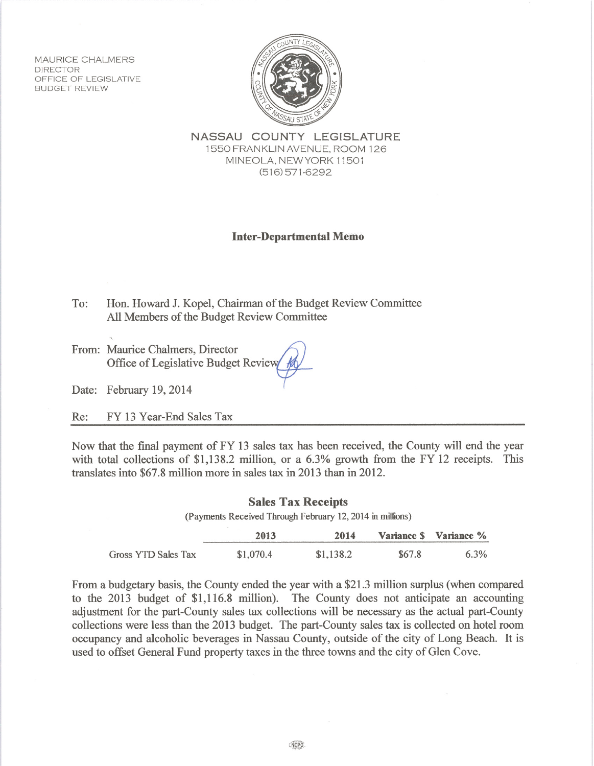**MAURICE CHALMERS DIRECTOR** OFFICE OF LEGISLATIVE **BUDGET REVIEW** 



NASSAU COUNTY LEGISLATURE 1550 FRANKLIN AVENUE, ROOM 126 MINEOLA, NEW YORK 11501  $(516)$  571-6292

## **Inter-Departmental Memo**

To: Hon. Howard J. Kopel, Chairman of the Budget Review Committee All Members of the Budget Review Committee

From: Maurice Chalmers, Director Office of Legislative Budget Review

Date: February 19, 2014

FY 13 Year-End Sales Tax Re:

Now that the final payment of FY 13 sales tax has been received, the County will end the year with total collections of \$1,138.2 million, or a 6.3% growth from the FY 12 receipts. This translates into \$67.8 million more in sales tax in 2013 than in 2012.

| <b>Sales Tax Receipts</b><br>(Payments Received Through February 12, 2014 in millions) |           |           |        |                        |
|----------------------------------------------------------------------------------------|-----------|-----------|--------|------------------------|
|                                                                                        | 2013      | 2014      |        | Variance \$ Variance % |
| Gross YTD Sales Tax                                                                    | \$1,070.4 | \$1,138.2 | \$67.8 | $6.3\%$                |

From a budgetary basis, the County ended the year with a \$21.3 million surplus (when compared to the 2013 budget of \$1,116.8 million). The County does not anticipate an accounting adjustment for the part-County sales tax collections will be necessary as the actual part-County collections were less than the 2013 budget. The part-County sales tax is collected on hotel room occupancy and alcoholic beverages in Nassau County, outside of the city of Long Beach. It is used to offset General Fund property taxes in the three towns and the city of Glen Cove.